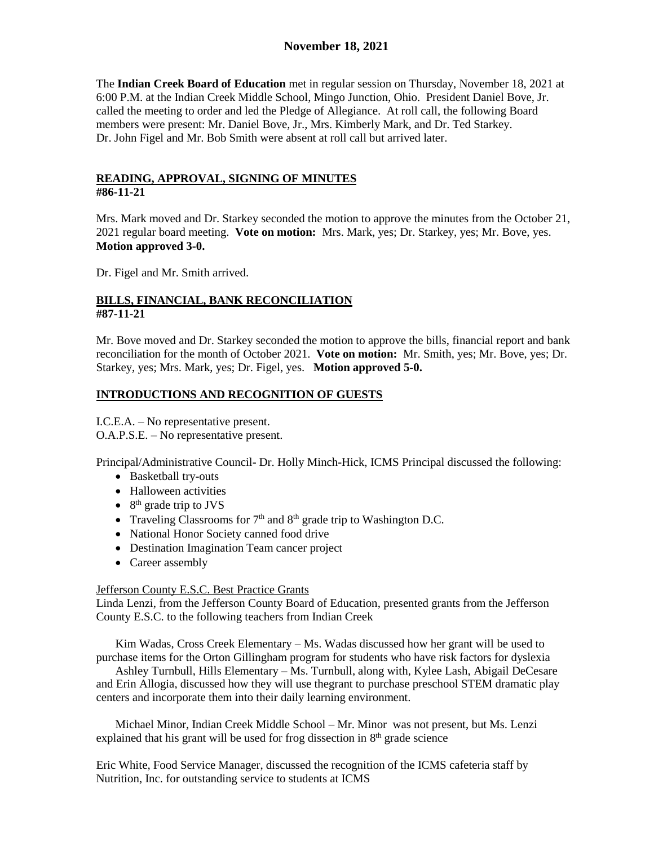# **November 18, 2021**

The **Indian Creek Board of Education** met in regular session on Thursday, November 18, 2021 at 6:00 P.M. at the Indian Creek Middle School, Mingo Junction, Ohio. President Daniel Bove, Jr. called the meeting to order and led the Pledge of Allegiance. At roll call, the following Board members were present: Mr. Daniel Bove, Jr., Mrs. Kimberly Mark, and Dr. Ted Starkey. Dr. John Figel and Mr. Bob Smith were absent at roll call but arrived later.

#### **READING, APPROVAL, SIGNING OF MINUTES #86-11-21**

Mrs. Mark moved and Dr. Starkey seconded the motion to approve the minutes from the October 21, 2021 regular board meeting. **Vote on motion:** Mrs. Mark, yes; Dr. Starkey, yes; Mr. Bove, yes. **Motion approved 3-0.**

Dr. Figel and Mr. Smith arrived.

### **BILLS, FINANCIAL, BANK RECONCILIATION #87-11-21**

Mr. Bove moved and Dr. Starkey seconded the motion to approve the bills, financial report and bank reconciliation for the month of October 2021. **Vote on motion:** Mr. Smith, yes; Mr. Bove, yes; Dr. Starkey, yes; Mrs. Mark, yes; Dr. Figel, yes. **Motion approved 5-0.**

#### **INTRODUCTIONS AND RECOGNITION OF GUESTS**

I.C.E.A. – No representative present.

O.A.P.S.E. – No representative present.

Principal/Administrative Council- Dr. Holly Minch-Hick, ICMS Principal discussed the following:

- Basketball try-outs
- Halloween activities
- $\bullet$  8<sup>th</sup> grade trip to JVS
- Traveling Classrooms for  $7<sup>th</sup>$  and  $8<sup>th</sup>$  grade trip to Washington D.C.
- National Honor Society canned food drive
- Destination Imagination Team cancer project
- Career assembly

#### Jefferson County E.S.C. Best Practice Grants

Linda Lenzi, from the Jefferson County Board of Education, presented grants from the Jefferson County E.S.C. to the following teachers from Indian Creek

Kim Wadas, Cross Creek Elementary – Ms. Wadas discussed how her grant will be used to purchase items for the Orton Gillingham program for students who have risk factors for dyslexia

Ashley Turnbull, Hills Elementary – Ms. Turnbull, along with, Kylee Lash, Abigail DeCesare and Erin Allogia, discussed how they will use thegrant to purchase preschool STEM dramatic play centers and incorporate them into their daily learning environment.

Michael Minor, Indian Creek Middle School – Mr. Minor was not present, but Ms. Lenzi explained that his grant will be used for frog dissection in  $8<sup>th</sup>$  grade science

Eric White, Food Service Manager, discussed the recognition of the ICMS cafeteria staff by Nutrition, Inc. for outstanding service to students at ICMS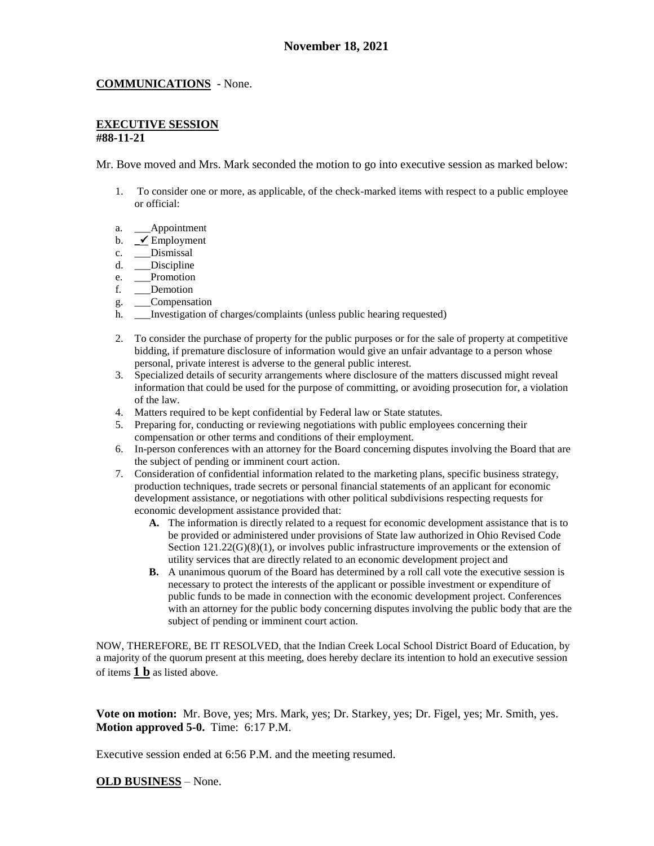#### **COMMUNICATIONS** - None.

#### **EXECUTIVE SESSION #88-11-21**

Mr. Bove moved and Mrs. Mark seconded the motion to go into executive session as marked below:

- 1. To consider one or more, as applicable, of the check-marked items with respect to a public employee or official:
- a. Appointment
- b.  $\angle$  Employment
- c. \_\_\_Dismissal
- d. Discipline
- e. Promotion
- f. \_\_\_Demotion
- g. \_\_\_Compensation
- h. Investigation of charges/complaints (unless public hearing requested)
- 2. To consider the purchase of property for the public purposes or for the sale of property at competitive bidding, if premature disclosure of information would give an unfair advantage to a person whose personal, private interest is adverse to the general public interest.
- 3. Specialized details of security arrangements where disclosure of the matters discussed might reveal information that could be used for the purpose of committing, or avoiding prosecution for, a violation of the law.
- 4. Matters required to be kept confidential by Federal law or State statutes.
- 5. Preparing for, conducting or reviewing negotiations with public employees concerning their compensation or other terms and conditions of their employment.
- 6. In-person conferences with an attorney for the Board concerning disputes involving the Board that are the subject of pending or imminent court action.
- 7. Consideration of confidential information related to the marketing plans, specific business strategy, production techniques, trade secrets or personal financial statements of an applicant for economic development assistance, or negotiations with other political subdivisions respecting requests for economic development assistance provided that:
	- **A.** The information is directly related to a request for economic development assistance that is to be provided or administered under provisions of State law authorized in Ohio Revised Code Section  $121.22(G)(8)(1)$ , or involves public infrastructure improvements or the extension of utility services that are directly related to an economic development project and
	- **B.** A unanimous quorum of the Board has determined by a roll call vote the executive session is necessary to protect the interests of the applicant or possible investment or expenditure of public funds to be made in connection with the economic development project. Conferences with an attorney for the public body concerning disputes involving the public body that are the subject of pending or imminent court action.

NOW, THEREFORE, BE IT RESOLVED, that the Indian Creek Local School District Board of Education, by a majority of the quorum present at this meeting, does hereby declare its intention to hold an executive session of items **1 b** as listed above.

**Vote on motion:** Mr. Bove, yes; Mrs. Mark, yes; Dr. Starkey, yes; Dr. Figel, yes; Mr. Smith, yes. **Motion approved 5-0.** Time: 6:17 P.M.

Executive session ended at 6:56 P.M. and the meeting resumed.

#### **OLD BUSINESS** – None.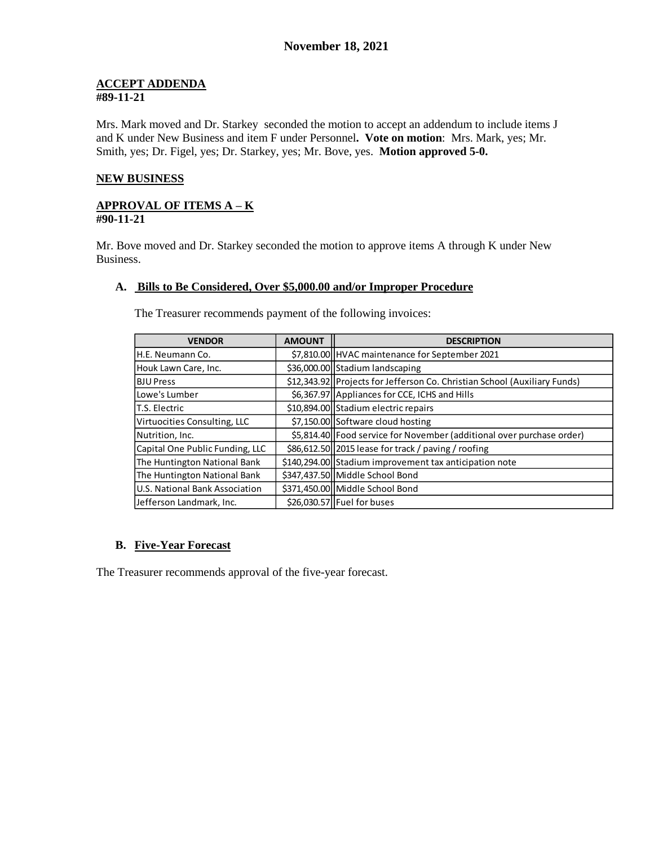#### **ACCEPT ADDENDA #89-11-21**

Mrs. Mark moved and Dr. Starkey seconded the motion to accept an addendum to include items J and K under New Business and item F under Personnel**. Vote on motion**: Mrs. Mark, yes; Mr. Smith, yes; Dr. Figel, yes; Dr. Starkey, yes; Mr. Bove, yes. **Motion approved 5-0.**

## **NEW BUSINESS**

#### **APPROVAL OF ITEMS A – K #90-11-21**

Mr. Bove moved and Dr. Starkey seconded the motion to approve items A through K under New Business.

### **A. Bills to Be Considered, Over \$5,000.00 and/or Improper Procedure**

**VENDOR AMOUNT AMOUNT** H.E. Neumann Co. **1992 | ST.810.00 HVAC** maintenance for September 2021 Houk Lawn Care, Inc. | \$36,000.00 Stadium landscaping BJU Press **12,343.92** Projects for Jefferson Co. Christian School (Auxiliary Funds) Lowe's Lumber \$6,367.97 Appliances for CCE, ICHS and Hills T.S. Electric  $\vert$  \$10,894.00 Stadium electric repairs Virtuocities Consulting, LLC  $\left| \begin{array}{c} | & \xi$ 7,150.00 Software cloud hosting Nutrition, Inc. **1992 Food service for November (additional over purchase order)** Capital One Public Funding, LLC  $\parallel$  \$86,612.50 2015 lease for track / paving / roofing The Huntington National Bank  $\left( \frac{1}{2} \right)$  \$140,294.00 Stadium improvement tax anticipation note The Huntington National Bank  $\left| \right.$  \$347,437.50 Middle School Bond U.S. National Bank Association  $\left| \right.$  \$371,450.00 Middle School Bond  $\vert$  Jefferson Landmark, Inc.  $\vert$  \$26,030.57 Fuel for buses

The Treasurer recommends payment of the following invoices:

### **B. Five-Year Forecast**

The Treasurer recommends approval of the five-year forecast.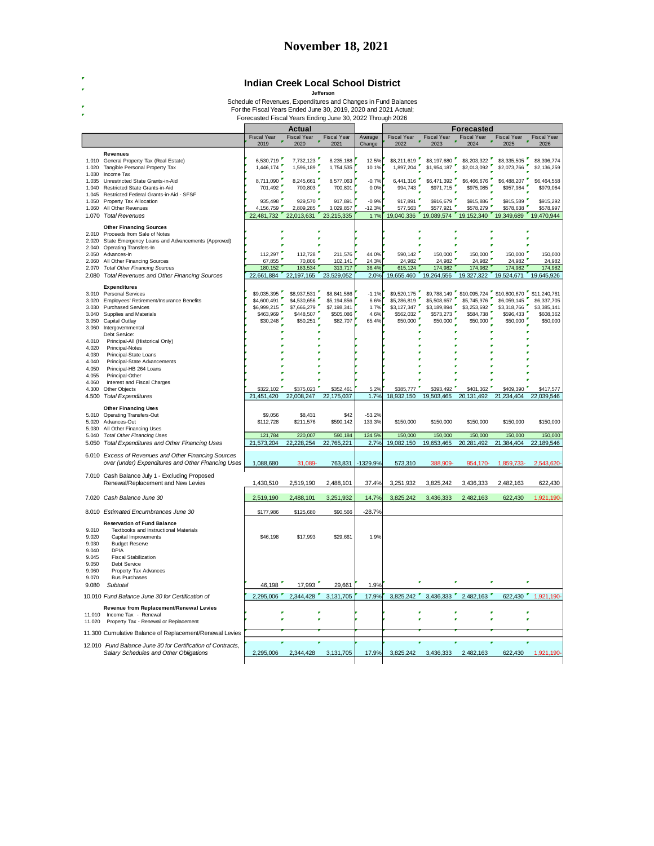|                  |                                                                      |                                                                                                                              | Indian Creek Local School District         | Jefferson                  |                   |                                  |                            |                                                |                            |                            |
|------------------|----------------------------------------------------------------------|------------------------------------------------------------------------------------------------------------------------------|--------------------------------------------|----------------------------|-------------------|----------------------------------|----------------------------|------------------------------------------------|----------------------------|----------------------------|
|                  |                                                                      | Schedule of Revenues, Expenditures and Changes in Fund Balances                                                              |                                            |                            |                   |                                  |                            |                                                |                            |                            |
|                  |                                                                      | For the Fiscal Years Ended June 30, 2019, 2020 and 2021 Actual;<br>Forecasted Fiscal Years Ending June 30, 2022 Through 2026 |                                            |                            |                   |                                  |                            |                                                |                            |                            |
|                  |                                                                      | Actual                                                                                                                       |                                            |                            | <b>Forecasted</b> |                                  |                            |                                                |                            |                            |
|                  |                                                                      | <b>Fiscal Year</b><br>2019                                                                                                   | <b>Fiscal Year</b><br>$\mathbf{r}$<br>2020 | <b>Fiscal Year</b><br>2021 | Average<br>Change | Fiscal Year<br>2022              | Fiscal Year<br>2023        | Fiscal Year<br>$\bar{\mathbf{r}}$<br>ż<br>2024 | Fiscal Year<br>2025        | <b>Fiscal Year</b><br>2026 |
|                  | <b>Revenues</b>                                                      |                                                                                                                              |                                            |                            |                   |                                  |                            |                                                |                            |                            |
| 1.010<br>1.020   | General Property Tax (Real Estate)<br>Tangible Personal Property Tax | 6,530,719<br>1,446,174                                                                                                       | 7,732,123<br>1,596,189                     | 8,235,188<br>1,754,535     | 12.5%<br>10.1%    | \$8,211,619<br>1,897,204         | \$8,197,680<br>\$1,954,187 | \$8,203,322<br>\$2,013,092                     | \$8,335,505<br>\$2,073,766 | \$8,396,774<br>\$2,136,259 |
| 1.030            | Income Tax                                                           |                                                                                                                              |                                            |                            |                   |                                  |                            |                                                |                            |                            |
| 1.035            | Unrestricted State Grants-in-Aid                                     | 8,711,090                                                                                                                    | 8,245,661                                  | 8,577,063                  | $-0.7%$           | 6,441,316                        | \$6,471,392                | \$6,466,676                                    | \$6,488,207                | \$6,464,558                |
| 1.040            | Restricted State Grants-in-Aid                                       | 701,492                                                                                                                      | 700,803                                    | 700,801                    | 0.0%              | 994,743                          | \$971,715                  | \$975,085                                      | \$957,984                  | \$979,064                  |
| 1.045<br>1.050   | Restricted Federal Grants-in-Aid - SFSF<br>Property Tax Allocation   | 935,498                                                                                                                      | 929,570                                    | 917,891                    | $-0.9%$           | 917,891                          | \$916,679                  | \$915,886                                      | \$915,589                  | \$915,292                  |
| 1.060            | All Other Revenues                                                   | 4,156,759                                                                                                                    | 2,809,285                                  | 3,029,857                  | $-12.3%$          | 577,563                          | \$577.921                  | \$578,279                                      | \$578,638                  | \$578,997                  |
|                  | 1.070 Total Revenues                                                 | 22,481,732                                                                                                                   | 22,013,631                                 | 23,215,335                 | 1.7%              | 19,040,336                       | 19,089,574                 | 19,152,340                                     | 19,349,689                 | 19,470,944                 |
|                  | <b>Other Financing Sources</b>                                       |                                                                                                                              |                                            |                            |                   |                                  |                            |                                                |                            |                            |
|                  | 2.010 Proceeds from Sale of Notes                                    |                                                                                                                              |                                            |                            |                   |                                  |                            |                                                |                            |                            |
| 2.020            | State Emergency Loans and Advancements (Approved)                    |                                                                                                                              |                                            |                            |                   |                                  |                            |                                                |                            |                            |
| 2.050            | 2.040 Operating Transfers-In<br>Advances-In                          | 112,297                                                                                                                      | 112,728                                    | 211,576                    | 44.0%             | 590,142                          | 150,000                    | 150,000                                        | 150,000                    | 150,000                    |
| 2.060            | All Other Financing Sources                                          | 67,855                                                                                                                       | 70,806                                     | 102,141                    | 24.3%             | 24,982                           | 24,982                     | 24,982                                         | 24,982                     | 24,982                     |
| 2.070            | <b>Total Other Financing Sources</b>                                 | 180,152                                                                                                                      | 183,534                                    | 313,717                    | 36.4%             | 615,124                          | 174,982                    | 174,982                                        | 174,982                    | 174,982                    |
| 2.080            | <b>Total Revenues and Other Financing Sources</b>                    | 22,661,884                                                                                                                   | 22,197,165                                 | 23,529,052                 | 2.0%              | 19,655,460                       | 19,264,556                 | 19,327,322                                     | 19,524,671                 | 19,645,926                 |
|                  | <b>Expenditures</b>                                                  |                                                                                                                              |                                            |                            |                   |                                  |                            |                                                |                            |                            |
| 3.010            | <b>Personal Services</b>                                             | \$9,035,395<br>×,                                                                                                            | \$8,937,531                                | \$8,841,586                | $-1.1%$           | \$9,520,175                      |                            | \$9,788,149 \$10,095,724                       | \$10,800,670               | \$11,240,761               |
| 3.020<br>3.030   | Employees' Retirement/Insurance Benefits                             | \$4,600,491<br>\$6,999,215                                                                                                   | \$4,530,656<br>\$7,666,279                 | \$5,194,856                | 6.6%<br>1.7%      | \$5,286,819<br>$$3,127,347$ $''$ | \$5,508,657<br>\$3,189,894 | \$5,745,976<br>\$3,253,692                     | \$6,059,145<br>\$3,318,766 | \$6,337,705                |
| 3.040            | <b>Purchased Services</b><br>Supplies and Materials                  | $$463,969$ $"$                                                                                                               | \$448,507                                  | \$7,198,341<br>\$505,086   | 4.6%              | \$562,032                        | \$573,273                  | \$584,738                                      | \$596,433                  | \$3,385,141<br>\$608.362   |
| 3.050            | Capital Outlay                                                       | \$30,248                                                                                                                     | \$50,251                                   | \$82,707                   | 65.4%             | $$50,000$ $^{\prime}$            | \$50,000                   | \$50,000                                       | \$50,000                   | \$50,000                   |
| 3.060            | Intergovernmental                                                    |                                                                                                                              |                                            |                            |                   |                                  |                            |                                                |                            |                            |
|                  | Debt Service:                                                        |                                                                                                                              |                                            |                            |                   |                                  |                            |                                                |                            |                            |
| 4.010<br>4.020   | Principal-All (Historical Only)<br>Principal-Notes                   |                                                                                                                              |                                            |                            |                   |                                  |                            |                                                |                            |                            |
| 4.030            | Principal-State Loans                                                |                                                                                                                              |                                            |                            |                   |                                  |                            |                                                |                            |                            |
| 4.040            | Principal-State Advancements                                         |                                                                                                                              |                                            |                            |                   |                                  |                            |                                                |                            |                            |
| 4.050            | Principal-HB 264 Loans                                               |                                                                                                                              |                                            |                            |                   |                                  |                            |                                                |                            |                            |
| 4.055            | Principal-Other                                                      |                                                                                                                              |                                            |                            |                   |                                  |                            |                                                |                            |                            |
|                  |                                                                      |                                                                                                                              |                                            |                            |                   |                                  |                            |                                                |                            |                            |
| 4.060<br>4.300   | Interest and Fiscal Charges<br>Other Objects                         | \$322,102                                                                                                                    | \$375,023                                  | \$352,461                  | 5.2%              | \$385,777                        | \$393,492                  | \$401,362                                      | \$409,390                  | \$417,577                  |
| 4.500            | <b>Total Expenditures</b>                                            | 21,451,420                                                                                                                   | 22,008,247                                 | 22,175,037                 | 1.7%              | 18,932,150                       | 19,503,465                 | 20,131,492                                     | 21,234,404                 | 22,039,546                 |
|                  |                                                                      |                                                                                                                              |                                            |                            |                   |                                  |                            |                                                |                            |                            |
|                  | <b>Other Financing Uses</b><br>5.010 Operating Transfers-Out         | \$9,056                                                                                                                      | \$8,431                                    | \$42                       | $-53.2%$          |                                  |                            |                                                |                            |                            |
|                  | 5.020 Advances-Out                                                   | \$112,728                                                                                                                    | \$211,576                                  | \$590,142                  | 133.3%            | \$150,000                        | \$150,000                  | \$150,000                                      | \$150,000                  | \$150,000                  |
| 5.030            | All Other Financing Uses                                             |                                                                                                                              |                                            |                            |                   |                                  |                            |                                                |                            |                            |
| 5.040            | <b>Total Other Financing Uses</b>                                    | 121,784                                                                                                                      | 220,007                                    | 590,184                    | 124.5%            | 150,000                          | 150,000                    | 150,000                                        | 150,000                    | 150,000                    |
| 5.050            | Total Expenditures and Other Financing Uses                          | 21,573,204                                                                                                                   | 22,228,254                                 | 22,765,221                 | 2.7%              | 19,082,150                       | 19,653,465                 | 20,281,492                                     | 21,384,404                 | 22,189,546                 |
|                  | 6.010 Excess of Revenues and Other Financing Sources                 |                                                                                                                              |                                            |                            |                   |                                  |                            |                                                |                            |                            |
|                  | over (under) Expenditures and Other Financing Uses                   | 1,088,680                                                                                                                    | 31,089-                                    | 763,831                    | -1329.9%          | 573,310                          | 388.909-                   | 954,170-                                       | 1,859,733-                 | 2,543,620-                 |
|                  | 7.010 Cash Balance July 1 - Excluding Proposed                       |                                                                                                                              |                                            |                            |                   |                                  |                            |                                                |                            |                            |
|                  | Renewal/Replacement and New Levies                                   | 1,430,510                                                                                                                    | 2,519,190                                  | 2,488,101                  | 37.4%             | 3,251,932                        | 3,825,242                  | 3,436,333                                      | 2,482,163                  | 622,430                    |
|                  |                                                                      |                                                                                                                              |                                            |                            |                   |                                  |                            |                                                |                            |                            |
|                  | 7.020 Cash Balance June 30                                           | 2,519,190                                                                                                                    | 2,488,101                                  | 3,251,932                  | 14.7%             | 3,825,242                        | 3,436,333                  | 2,482,163                                      | 622,430                    | 1,921,190-                 |
|                  |                                                                      |                                                                                                                              |                                            |                            |                   |                                  |                            |                                                |                            |                            |
|                  | 8.010 Estimated Encumbrances June 30                                 | \$177,986                                                                                                                    | \$125,680                                  | \$90,566                   | $-28.7%$          |                                  |                            |                                                |                            |                            |
|                  | <b>Reservation of Fund Balance</b>                                   |                                                                                                                              |                                            |                            |                   |                                  |                            |                                                |                            |                            |
| 9.010<br>9.020   | Textbooks and Instructional Materials<br>Capital Improvements        | \$46,198                                                                                                                     | \$17,993                                   | \$29,661                   | 1.9%              |                                  |                            |                                                |                            |                            |
| 9.030            | <b>Budget Reserve</b>                                                |                                                                                                                              |                                            |                            |                   |                                  |                            |                                                |                            |                            |
| 9.040            | <b>DPIA</b>                                                          |                                                                                                                              |                                            |                            |                   |                                  |                            |                                                |                            |                            |
| 9.045            | <b>Fiscal Stabilization</b>                                          |                                                                                                                              |                                            |                            |                   |                                  |                            |                                                |                            |                            |
| 9.050<br>9.060   | Debt Service<br>Property Tax Advances                                |                                                                                                                              |                                            |                            |                   |                                  |                            |                                                |                            |                            |
| 9.070            | <b>Bus Purchases</b>                                                 |                                                                                                                              |                                            |                            |                   |                                  |                            |                                                |                            |                            |
| 9.080            | Subtotal                                                             | 46,198                                                                                                                       | 17,993                                     | 29,661                     | 1.9%              |                                  |                            | r                                              |                            |                            |
|                  | 10.010 Fund Balance June 30 for Certification of                     | 2.295.006                                                                                                                    | 2,344,428                                  | 3,131,705                  | 17.9%             |                                  |                            | 3,825,242 3,436,333 2,482,163                  |                            | 622,430 1,921,190-         |
|                  |                                                                      |                                                                                                                              |                                            |                            |                   |                                  |                            |                                                |                            |                            |
|                  | Revenue from Replacement/Renewal Levies                              |                                                                                                                              | P                                          |                            |                   |                                  |                            |                                                |                            |                            |
| 11.010<br>11.020 | Income Tax - Renewal<br>Property Tax - Renewal or Replacement        |                                                                                                                              |                                            |                            |                   |                                  |                            |                                                |                            |                            |
|                  |                                                                      |                                                                                                                              |                                            |                            |                   |                                  |                            |                                                |                            |                            |
|                  | 11.300 Cumulative Balance of Replacement/Renewal Levies              |                                                                                                                              |                                            |                            |                   |                                  |                            |                                                |                            |                            |
|                  | 12.010 Fund Balance June 30 for Certification of Contracts,          |                                                                                                                              |                                            |                            |                   |                                  |                            |                                                |                            |                            |
|                  | Salary Schedules and Other Obligations                               | 2.295.006                                                                                                                    | 2,344,428                                  | 3,131,705                  | 17.9%             | 3.825.242                        | 3,436,333                  | 2,482,163                                      | 622,430                    | 1,921,190-                 |

# **November 18, 2021**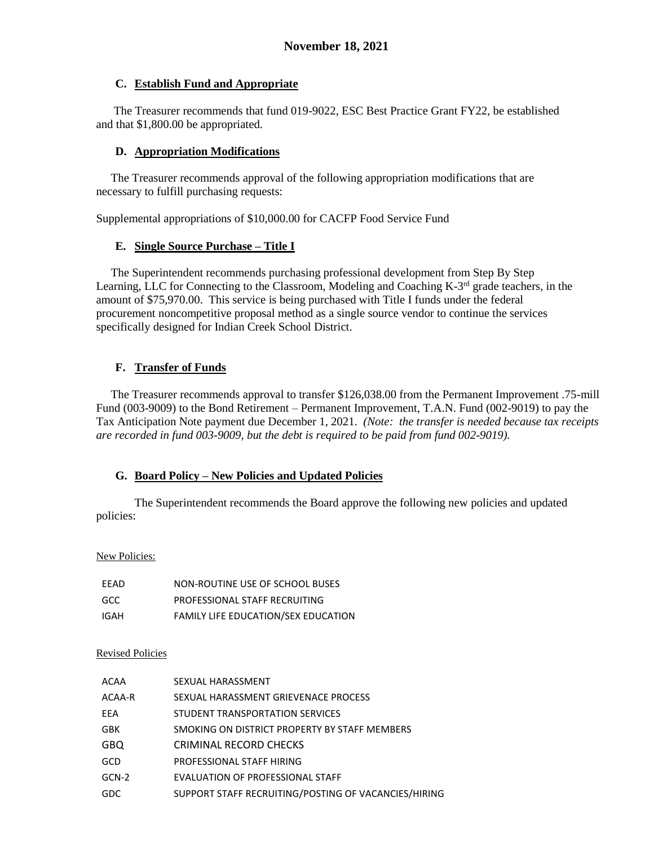### **C. Establish Fund and Appropriate**

 The Treasurer recommends that fund 019-9022, ESC Best Practice Grant FY22, be established and that \$1,800.00 be appropriated.

### **D. Appropriation Modifications**

 The Treasurer recommends approval of the following appropriation modifications that are necessary to fulfill purchasing requests:

Supplemental appropriations of \$10,000.00 for CACFP Food Service Fund

### **E. Single Source Purchase – Title I**

 The Superintendent recommends purchasing professional development from Step By Step Learning, LLC for Connecting to the Classroom, Modeling and Coaching K-3<sup>rd</sup> grade teachers, in the amount of \$75,970.00. This service is being purchased with Title I funds under the federal procurement noncompetitive proposal method as a single source vendor to continue the services specifically designed for Indian Creek School District.

# **F. Transfer of Funds**

 The Treasurer recommends approval to transfer \$126,038.00 from the Permanent Improvement .75-mill Fund (003-9009) to the Bond Retirement – Permanent Improvement, T.A.N. Fund (002-9019) to pay the Tax Anticipation Note payment due December 1, 2021. *(Note: the transfer is needed because tax receipts are recorded in fund 003-9009, but the debt is required to be paid from fund 002-9019).*

### **G. Board Policy – New Policies and Updated Policies**

The Superintendent recommends the Board approve the following new policies and updated policies:

#### New Policies:

| FFAD | NON-ROUTINE USE OF SCHOOL BUSES            |
|------|--------------------------------------------|
| GCC. | PROFESSIONAL STAFF RECRUITING              |
| IGAH | <b>FAMILY LIFE EDUCATION/SEX EDUCATION</b> |

#### Revised Policies

| ACAA       | SEXUAL HARASSMENT                                    |
|------------|------------------------------------------------------|
| ACAA-R     | SEXUAL HARASSMENT GRIEVENACE PROCESS                 |
| EEA        | STUDENT TRANSPORTATION SERVICES                      |
| GBK        | SMOKING ON DISTRICT PROPERTY BY STAFF MEMBERS        |
| <b>GBQ</b> | CRIMINAL RECORD CHECKS                               |
| GCD        | PROFESSIONAL STAFF HIRING                            |
| GCN-2      | EVALUATION OF PROFESSIONAL STAFF                     |
| <b>GDC</b> | SUPPORT STAFF RECRUITING/POSTING OF VACANCIES/HIRING |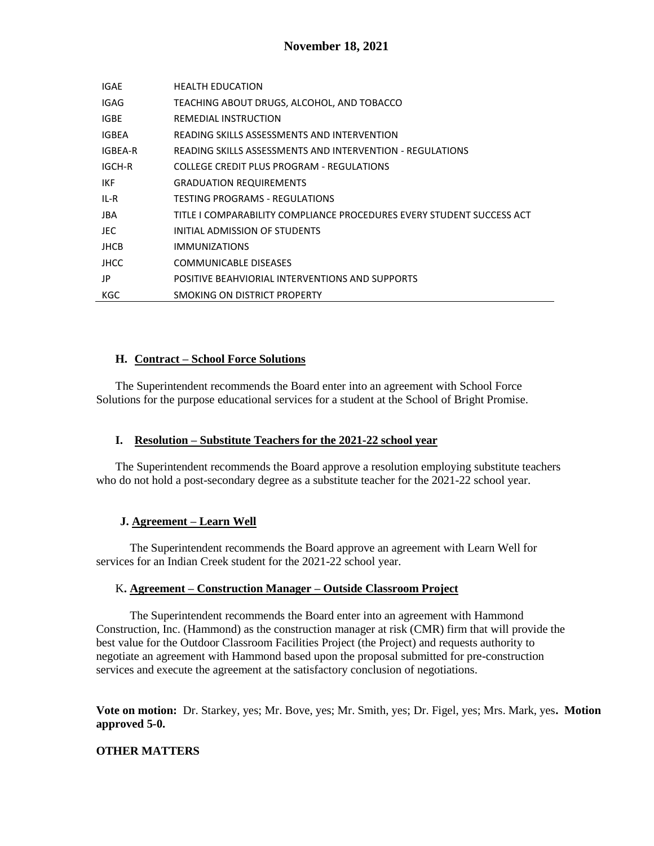| IGAE         | <b>HEALTH EDUCATION</b>                                               |
|--------------|-----------------------------------------------------------------------|
| IGAG         | TEACHING ABOUT DRUGS, ALCOHOL, AND TOBACCO                            |
| <b>IGBE</b>  | REMEDIAL INSTRUCTION                                                  |
| <b>IGBEA</b> | READING SKILLS ASSESSMENTS AND INTERVENTION                           |
| IGBEA-R      | READING SKILLS ASSESSMENTS AND INTERVENTION - REGULATIONS             |
| IGCH-R       | COLLEGE CREDIT PLUS PROGRAM - REGULATIONS                             |
| IKF.         | <b>GRADUATION REQUIREMENTS</b>                                        |
| IL-R         | TESTING PROGRAMS - REGULATIONS                                        |
| JBA          | TITLE I COMPARABILITY COMPLIANCE PROCEDURES EVERY STUDENT SUCCESS ACT |
| JEC.         | INITIAL ADMISSION OF STUDENTS                                         |
| <b>JHCB</b>  | <b>IMMUNIZATIONS</b>                                                  |
| <b>JHCC</b>  | <b>COMMUNICABLE DISEASES</b>                                          |
| JP           | POSITIVE BEAHVIORIAL INTERVENTIONS AND SUPPORTS                       |
| KGC          | SMOKING ON DISTRICT PROPERTY                                          |

### **H. Contract – School Force Solutions**

The Superintendent recommends the Board enter into an agreement with School Force Solutions for the purpose educational services for a student at the School of Bright Promise.

### **I. Resolution – Substitute Teachers for the 2021-22 school year**

The Superintendent recommends the Board approve a resolution employing substitute teachers who do not hold a post-secondary degree as a substitute teacher for the 2021-22 school year.

### **J. Agreement – Learn Well**

The Superintendent recommends the Board approve an agreement with Learn Well for services for an Indian Creek student for the 2021-22 school year.

#### K**. Agreement – Construction Manager – Outside Classroom Project**

The Superintendent recommends the Board enter into an agreement with Hammond Construction, Inc. (Hammond) as the construction manager at risk (CMR) firm that will provide the best value for the Outdoor Classroom Facilities Project (the Project) and requests authority to negotiate an agreement with Hammond based upon the proposal submitted for pre-construction services and execute the agreement at the satisfactory conclusion of negotiations.

**Vote on motion:** Dr. Starkey, yes; Mr. Bove, yes; Mr. Smith, yes; Dr. Figel, yes; Mrs. Mark, yes**. Motion approved 5-0.**

### **OTHER MATTERS**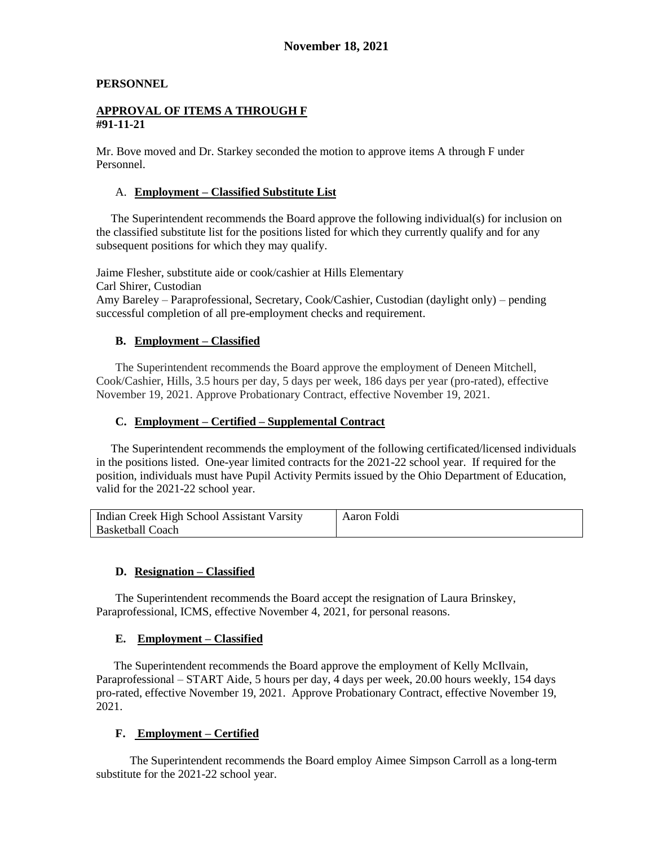### **PERSONNEL**

#### **APPROVAL OF ITEMS A THROUGH F #91-11-21**

Mr. Bove moved and Dr. Starkey seconded the motion to approve items A through F under Personnel.

#### A. **Employment – Classified Substitute List**

 The Superintendent recommends the Board approve the following individual(s) for inclusion on the classified substitute list for the positions listed for which they currently qualify and for any subsequent positions for which they may qualify.

Jaime Flesher, substitute aide or cook/cashier at Hills Elementary Carl Shirer, Custodian Amy Bareley – Paraprofessional, Secretary, Cook/Cashier, Custodian (daylight only) – pending successful completion of all pre-employment checks and requirement.

### **B. Employment – Classified**

The Superintendent recommends the Board approve the employment of Deneen Mitchell, Cook/Cashier, Hills, 3.5 hours per day, 5 days per week, 186 days per year (pro-rated), effective November 19, 2021. Approve Probationary Contract, effective November 19, 2021.

### **C. Employment – Certified – Supplemental Contract**

 The Superintendent recommends the employment of the following certificated/licensed individuals in the positions listed. One-year limited contracts for the 2021-22 school year. If required for the position, individuals must have Pupil Activity Permits issued by the Ohio Department of Education, valid for the 2021-22 school year.

| Indian Creek High School Assistant Varsity | Aaron Foldi |
|--------------------------------------------|-------------|
| Basketball Coach                           |             |

### **D. Resignation – Classified**

The Superintendent recommends the Board accept the resignation of Laura Brinskey, Paraprofessional, ICMS, effective November 4, 2021, for personal reasons.

#### **E. Employment – Classified**

 The Superintendent recommends the Board approve the employment of Kelly McIlvain, Paraprofessional – START Aide, 5 hours per day, 4 days per week, 20.00 hours weekly, 154 days pro-rated, effective November 19, 2021. Approve Probationary Contract, effective November 19, 2021.

### **F. Employment – Certified**

The Superintendent recommends the Board employ Aimee Simpson Carroll as a long-term substitute for the 2021-22 school year.